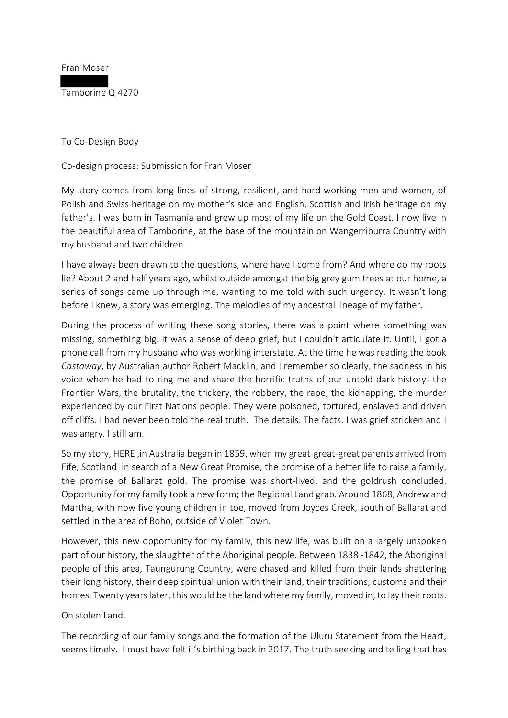Fran Moser

Tamborine Q 4270

To Co-Design Body

#### Co-design process: Submission for Fran Moser

My story comes from long lines of strong, resilient, and hard-working men and women, of Polish and Swiss heritage on my mother's side and English, Scottish and Irish heritage on my father's. I was born in Tasmania and grew up most of my life on the Gold Coast. I now live in the beautiful area of Tamborine, at the base of the mountain on Wangerriburra Country with my husband and two children.

I have always been drawn to the questions, where have I come from? And where do my roots lie? About 2 and half years ago, whilst outside amongst the big grey gum trees at our home, a series of songs came up through me, wanting to me told with such urgency. It wasn't long before I knew, a story was emerging. The melodies of my ancestral lineage of my father.

During the process of writing these song stories, there was a point where something was missing, something big. It was a sense of deep grief, but I couldn't articulate it. Until, I got a phone call from my husband who was working interstate. At the time he was reading the book *Castaway*, by Australian author Robert Macklin, and I remember so clearly, the sadness in his voice when he had to ring me and share the horrific truths of our untold dark history- the Frontier Wars, the brutality, the trickery, the robbery, the rape, the kidnapping, the murder experienced by our First Nations people. They were poisoned, tortured, enslaved and driven off cliffs. I had never been told the real truth. The details. The facts. I was grief stricken and I was angry. I still am.

So my story, HERE ,in Australia began in 1859, when my great-great-great parents arrived from Fife, Scotland in search of a New Great Promise, the promise of a better life to raise a family, the promise of Ballarat gold. The promise was short-lived, and the goldrush concluded. Opportunity for my family took a new form; the Regional Land grab. Around 1868, Andrew and Martha, with now five young children in toe, moved from Joyces Creek, south of Ballarat and settled in the area of Boho, outside of Violet Town.

However, this new opportunity for my family, this new life, was built on a largely unspoken part of our history, the slaughter of the Aboriginal people. Between 1838 -1842, the Aboriginal people of this area, Taungurung Country, were chased and killed from their lands shattering their long history, their deep spiritual union with their land, their traditions, customs and their homes. Twenty years later, this would be the land where my family, moved in, to lay their roots.

On stolen Land.

The recording of our family songs and the formation of the Uluru Statement from the Heart, seems timely. I must have felt it's birthing back in 2017. The truth seeking and telling that has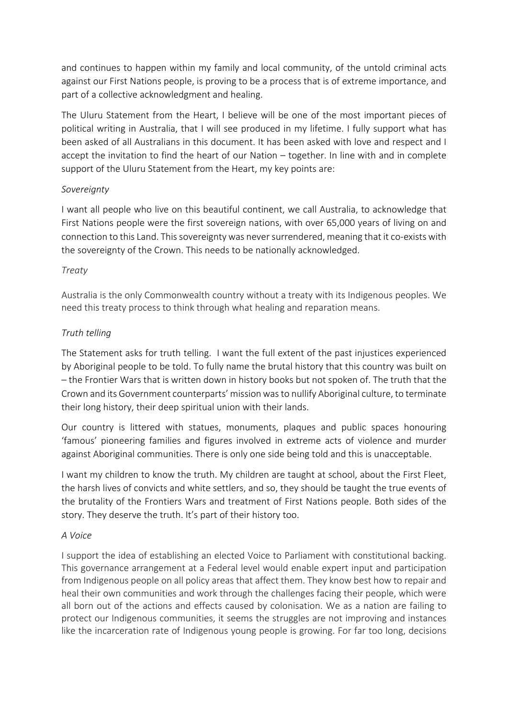and continues to happen within my family and local community, of the untold criminal acts against our First Nations people, is proving to be a process that is of extreme importance, and part of a collective acknowledgment and healing.

The Uluru Statement from the Heart, I believe will be one of the most important pieces of political writing in Australia, that I will see produced in my lifetime. I fully support what has been asked of all Australians in this document. It has been asked with love and respect and I accept the invitation to find the heart of our Nation – together. In line with and in complete support of the Uluru Statement from the Heart, my key points are:

## *Sovereignty*

I want all people who live on this beautiful continent, we call Australia, to acknowledge that First Nations people were the first sovereign nations, with over 65,000 years of living on and connection to this Land. This sovereignty was never surrendered, meaning that it co-exists with the sovereignty of the Crown. This needs to be nationally acknowledged.

## *Treaty*

Australia is the only Commonwealth country without a treaty with its Indigenous peoples. We need this treaty process to think through what healing and reparation means.

# *Truth telling*

The Statement asks for truth telling. I want the full extent of the past injustices experienced by Aboriginal people to be told. To fully name the brutal history that this country was built on – the Frontier Wars that is written down in history books but not spoken of. The truth that the Crown and its Government counterparts' mission wasto nullify Aboriginal culture, to terminate their long history, their deep spiritual union with their lands.

Our country is littered with statues, monuments, plaques and public spaces honouring 'famous' pioneering families and figures involved in extreme acts of violence and murder against Aboriginal communities. There is only one side being told and this is unacceptable.

I want my children to know the truth. My children are taught at school, about the First Fleet, the harsh lives of convicts and white settlers, and so, they should be taught the true events of the brutality of the Frontiers Wars and treatment of First Nations people. Both sides of the story. They deserve the truth. It's part of their history too.

#### *A Voice*

I support the idea of establishing an elected Voice to Parliament with constitutional backing. This governance arrangement at a Federal level would enable expert input and participation from Indigenous people on all policy areas that affect them. They know best how to repair and heal their own communities and work through the challenges facing their people, which were all born out of the actions and effects caused by colonisation. We as a nation are failing to protect our Indigenous communities, it seems the struggles are not improving and instances like the incarceration rate of Indigenous young people is growing. For far too long, decisions